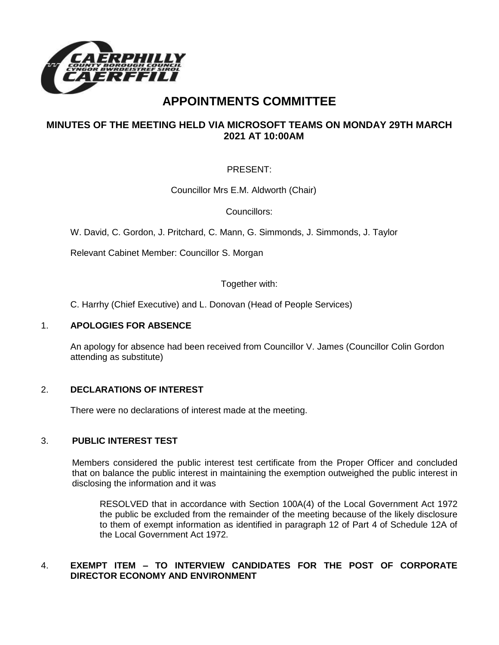

# **APPOINTMENTS COMMITTEE**

# **MINUTES OF THE MEETING HELD VIA MICROSOFT TEAMS ON MONDAY 29TH MARCH 2021 AT 10:00AM**

# PRESENT:

Councillor Mrs E.M. Aldworth (Chair)

Councillors:

W. David, C. Gordon, J. Pritchard, C. Mann, G. Simmonds, J. Simmonds, J. Taylor

Relevant Cabinet Member: Councillor S. Morgan

Together with:

C. Harrhy (Chief Executive) and L. Donovan (Head of People Services)

#### 1. **APOLOGIES FOR ABSENCE**

An apology for absence had been received from Councillor V. James (Councillor Colin Gordon attending as substitute)

## 2. **DECLARATIONS OF INTEREST**

There were no declarations of interest made at the meeting.

## 3. **PUBLIC INTEREST TEST**

Members considered the public interest test certificate from the Proper Officer and concluded that on balance the public interest in maintaining the exemption outweighed the public interest in disclosing the information and it was

RESOLVED that in accordance with Section 100A(4) of the Local Government Act 1972 the public be excluded from the remainder of the meeting because of the likely disclosure to them of exempt information as identified in paragraph 12 of Part 4 of Schedule 12A of the Local Government Act 1972.

## 4. **EXEMPT ITEM – TO INTERVIEW CANDIDATES FOR THE POST OF CORPORATE DIRECTOR ECONOMY AND ENVIRONMENT**